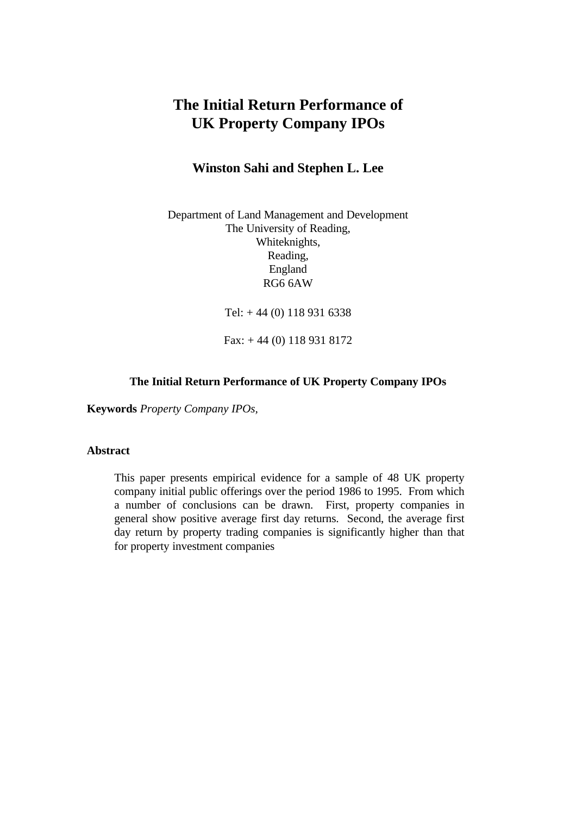# **The Initial Return Performance of UK Property Company IPOs**

## **Winston Sahi and Stephen L. Lee**

Department of Land Management and Development The University of Reading, Whiteknights, Reading, England RG6 6AW

Tel: + 44 (0) 118 931 6338

Fax: + 44 (0) 118 931 8172

### **The Initial Return Performance of UK Property Company IPOs**

**Keywords** *Property Company IPOs,*

## **Abstract**

This paper presents empirical evidence for a sample of 48 UK property company initial public offerings over the period 1986 to 1995. From which a number of conclusions can be drawn. First, property companies in general show positive average first day returns. Second, the average first day return by property trading companies is significantly higher than that for property investment companies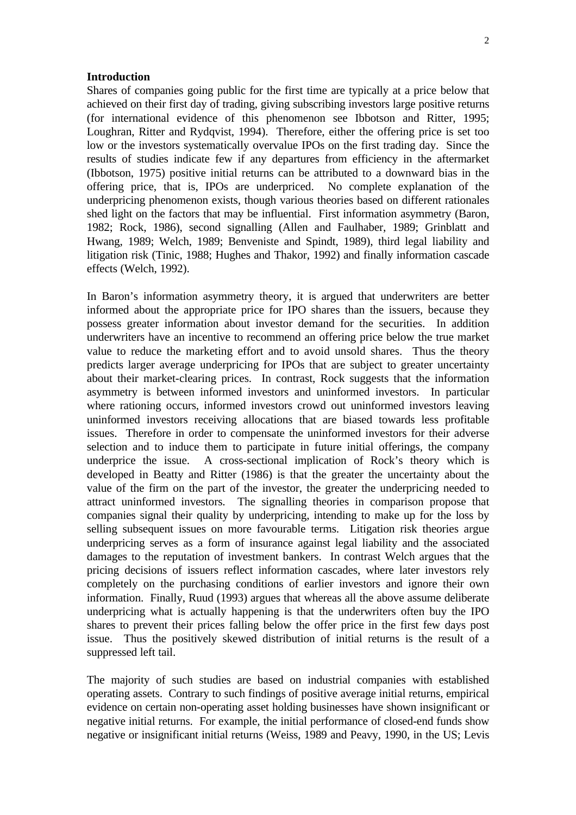#### **Introduction**

Shares of companies going public for the first time are typically at a price below that achieved on their first day of trading, giving subscribing investors large positive returns (for international evidence of this phenomenon see Ibbotson and Ritter, 1995; Loughran, Ritter and Rydqvist, 1994). Therefore, either the offering price is set too low or the investors systematically overvalue IPOs on the first trading day. Since the results of studies indicate few if any departures from efficiency in the aftermarket (Ibbotson, 1975) positive initial returns can be attributed to a downward bias in the offering price, that is, IPOs are underpriced. No complete explanation of the underpricing phenomenon exists, though various theories based on different rationales shed light on the factors that may be influential. First information asymmetry (Baron, 1982; Rock, 1986), second signalling (Allen and Faulhaber, 1989; Grinblatt and Hwang, 1989; Welch, 1989; Benveniste and Spindt, 1989), third legal liability and litigation risk (Tinic, 1988; Hughes and Thakor, 1992) and finally information cascade effects (Welch, 1992).

In Baron's information asymmetry theory, it is argued that underwriters are better informed about the appropriate price for IPO shares than the issuers, because they possess greater information about investor demand for the securities. In addition underwriters have an incentive to recommend an offering price below the true market value to reduce the marketing effort and to avoid unsold shares. Thus the theory predicts larger average underpricing for IPOs that are subject to greater uncertainty about their market-clearing prices. In contrast, Rock suggests that the information asymmetry is between informed investors and uninformed investors. In particular where rationing occurs, informed investors crowd out uninformed investors leaving uninformed investors receiving allocations that are biased towards less profitable issues. Therefore in order to compensate the uninformed investors for their adverse selection and to induce them to participate in future initial offerings, the company underprice the issue. A cross-sectional implication of Rock's theory which is developed in Beatty and Ritter (1986) is that the greater the uncertainty about the value of the firm on the part of the investor, the greater the underpricing needed to attract uninformed investors. The signalling theories in comparison propose that companies signal their quality by underpricing, intending to make up for the loss by selling subsequent issues on more favourable terms. Litigation risk theories argue underpricing serves as a form of insurance against legal liability and the associated damages to the reputation of investment bankers. In contrast Welch argues that the pricing decisions of issuers reflect information cascades, where later investors rely completely on the purchasing conditions of earlier investors and ignore their own information. Finally, Ruud (1993) argues that whereas all the above assume deliberate underpricing what is actually happening is that the underwriters often buy the IPO shares to prevent their prices falling below the offer price in the first few days post issue. Thus the positively skewed distribution of initial returns is the result of a suppressed left tail.

The majority of such studies are based on industrial companies with established operating assets. Contrary to such findings of positive average initial returns, empirical evidence on certain non-operating asset holding businesses have shown insignificant or negative initial returns. For example, the initial performance of closed-end funds show negative or insignificant initial returns (Weiss, 1989 and Peavy, 1990, in the US; Levis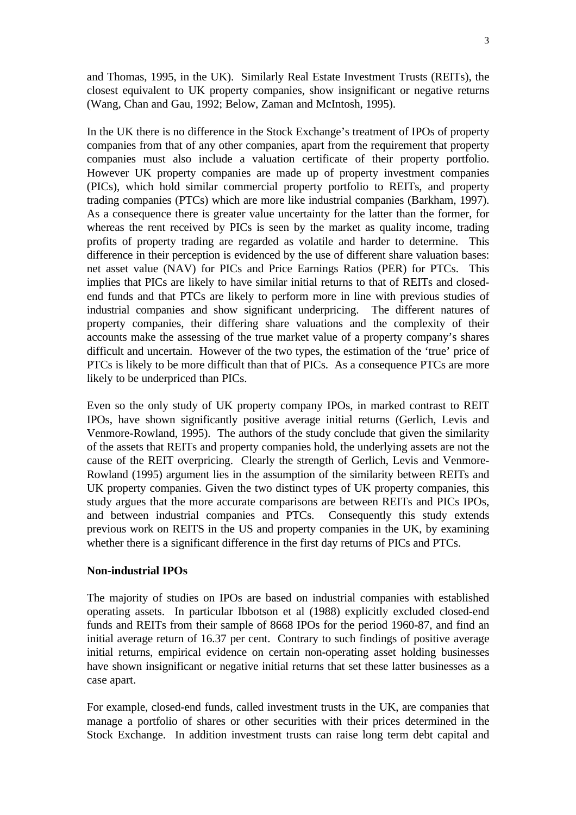and Thomas, 1995, in the UK). Similarly Real Estate Investment Trusts (REITs), the closest equivalent to UK property companies, show insignificant or negative returns (Wang, Chan and Gau, 1992; Below, Zaman and McIntosh, 1995).

In the UK there is no difference in the Stock Exchange's treatment of IPOs of property companies from that of any other companies, apart from the requirement that property companies must also include a valuation certificate of their property portfolio. However UK property companies are made up of property investment companies (PICs), which hold similar commercial property portfolio to REITs, and property trading companies (PTCs) which are more like industrial companies (Barkham, 1997). As a consequence there is greater value uncertainty for the latter than the former, for whereas the rent received by PICs is seen by the market as quality income, trading profits of property trading are regarded as volatile and harder to determine. This difference in their perception is evidenced by the use of different share valuation bases: net asset value (NAV) for PICs and Price Earnings Ratios (PER) for PTCs. This implies that PICs are likely to have similar initial returns to that of REITs and closedend funds and that PTCs are likely to perform more in line with previous studies of industrial companies and show significant underpricing. The different natures of property companies, their differing share valuations and the complexity of their accounts make the assessing of the true market value of a property company's shares difficult and uncertain. However of the two types, the estimation of the 'true' price of PTCs is likely to be more difficult than that of PICs. As a consequence PTCs are more likely to be underpriced than PICs.

Even so the only study of UK property company IPOs, in marked contrast to REIT IPOs, have shown significantly positive average initial returns (Gerlich, Levis and Venmore-Rowland, 1995). The authors of the study conclude that given the similarity of the assets that REITs and property companies hold, the underlying assets are not the cause of the REIT overpricing. Clearly the strength of Gerlich, Levis and Venmore-Rowland (1995) argument lies in the assumption of the similarity between REITs and UK property companies. Given the two distinct types of UK property companies, this study argues that the more accurate comparisons are between REITs and PICs IPOs, and between industrial companies and PTCs. Consequently this study extends previous work on REITS in the US and property companies in the UK, by examining whether there is a significant difference in the first day returns of PICs and PTCs.

#### **Non-industrial IPOs**

The majority of studies on IPOs are based on industrial companies with established operating assets. In particular Ibbotson et al (1988) explicitly excluded closed-end funds and REITs from their sample of 8668 IPOs for the period 1960-87, and find an initial average return of 16.37 per cent. Contrary to such findings of positive average initial returns, empirical evidence on certain non-operating asset holding businesses have shown insignificant or negative initial returns that set these latter businesses as a case apart.

For example, closed-end funds, called investment trusts in the UK, are companies that manage a portfolio of shares or other securities with their prices determined in the Stock Exchange. In addition investment trusts can raise long term debt capital and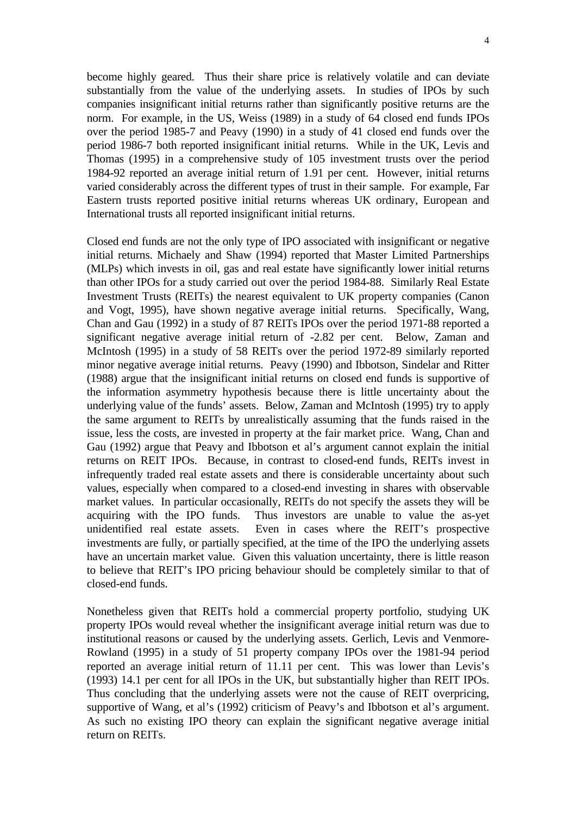become highly geared. Thus their share price is relatively volatile and can deviate substantially from the value of the underlying assets. In studies of IPOs by such companies insignificant initial returns rather than significantly positive returns are the norm. For example, in the US, Weiss (1989) in a study of 64 closed end funds IPOs over the period 1985-7 and Peavy (1990) in a study of 41 closed end funds over the period 1986-7 both reported insignificant initial returns. While in the UK, Levis and Thomas (1995) in a comprehensive study of 105 investment trusts over the period 1984-92 reported an average initial return of 1.91 per cent. However, initial returns varied considerably across the different types of trust in their sample. For example, Far Eastern trusts reported positive initial returns whereas UK ordinary, European and International trusts all reported insignificant initial returns.

Closed end funds are not the only type of IPO associated with insignificant or negative initial returns. Michaely and Shaw (1994) reported that Master Limited Partnerships (MLPs) which invests in oil, gas and real estate have significantly lower initial returns than other IPOs for a study carried out over the period 1984-88. Similarly Real Estate Investment Trusts (REITs) the nearest equivalent to UK property companies (Canon and Vogt, 1995), have shown negative average initial returns. Specifically, Wang, Chan and Gau (1992) in a study of 87 REITs IPOs over the period 1971-88 reported a significant negative average initial return of -2.82 per cent. Below, Zaman and McIntosh (1995) in a study of 58 REITs over the period 1972-89 similarly reported minor negative average initial returns. Peavy (1990) and Ibbotson, Sindelar and Ritter (1988) argue that the insignificant initial returns on closed end funds is supportive of the information asymmetry hypothesis because there is little uncertainty about the underlying value of the funds' assets. Below, Zaman and McIntosh (1995) try to apply the same argument to REITs by unrealistically assuming that the funds raised in the issue, less the costs, are invested in property at the fair market price. Wang, Chan and Gau (1992) argue that Peavy and Ibbotson et al's argument cannot explain the initial returns on REIT IPOs. Because, in contrast to closed-end funds, REITs invest in infrequently traded real estate assets and there is considerable uncertainty about such values, especially when compared to a closed-end investing in shares with observable market values. In particular occasionally, REITs do not specify the assets they will be acquiring with the IPO funds. Thus investors are unable to value the as-yet unidentified real estate assets. Even in cases where the REIT's prospective investments are fully, or partially specified, at the time of the IPO the underlying assets have an uncertain market value. Given this valuation uncertainty, there is little reason to believe that REIT's IPO pricing behaviour should be completely similar to that of closed-end funds.

Nonetheless given that REITs hold a commercial property portfolio, studying UK property IPOs would reveal whether the insignificant average initial return was due to institutional reasons or caused by the underlying assets. Gerlich, Levis and Venmore-Rowland (1995) in a study of 51 property company IPOs over the 1981-94 period reported an average initial return of 11.11 per cent. This was lower than Levis's (1993) 14.1 per cent for all IPOs in the UK, but substantially higher than REIT IPOs. Thus concluding that the underlying assets were not the cause of REIT overpricing, supportive of Wang, et al's (1992) criticism of Peavy's and Ibbotson et al's argument. As such no existing IPO theory can explain the significant negative average initial return on REITs.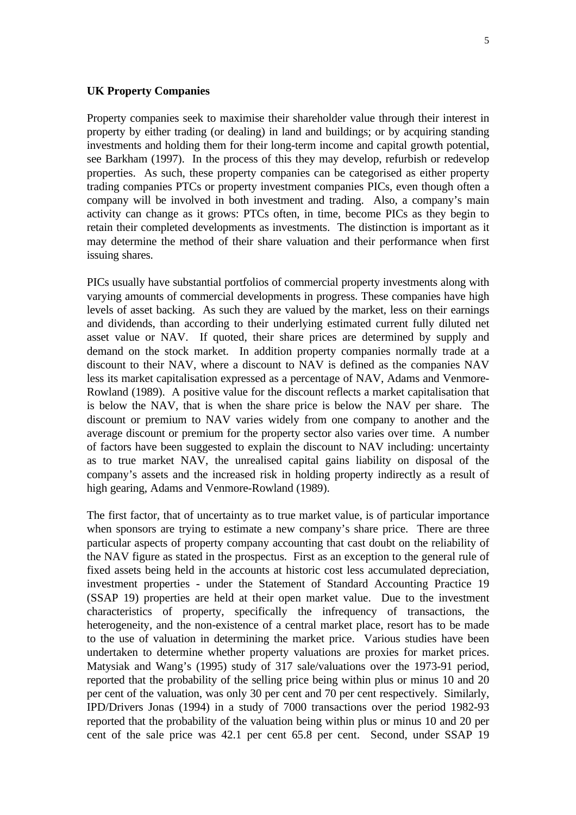### **UK Property Companies**

Property companies seek to maximise their shareholder value through their interest in property by either trading (or dealing) in land and buildings; or by acquiring standing investments and holding them for their long-term income and capital growth potential, see Barkham (1997). In the process of this they may develop, refurbish or redevelop properties. As such, these property companies can be categorised as either property trading companies PTCs or property investment companies PICs, even though often a company will be involved in both investment and trading. Also, a company's main activity can change as it grows: PTCs often, in time, become PICs as they begin to retain their completed developments as investments. The distinction is important as it may determine the method of their share valuation and their performance when first issuing shares.

PICs usually have substantial portfolios of commercial property investments along with varying amounts of commercial developments in progress. These companies have high levels of asset backing. As such they are valued by the market, less on their earnings and dividends, than according to their underlying estimated current fully diluted net asset value or NAV. If quoted, their share prices are determined by supply and demand on the stock market. In addition property companies normally trade at a discount to their NAV, where a discount to NAV is defined as the companies NAV less its market capitalisation expressed as a percentage of NAV, Adams and Venmore-Rowland (1989). A positive value for the discount reflects a market capitalisation that is below the NAV, that is when the share price is below the NAV per share. The discount or premium to NAV varies widely from one company to another and the average discount or premium for the property sector also varies over time. A number of factors have been suggested to explain the discount to NAV including: uncertainty as to true market NAV, the unrealised capital gains liability on disposal of the company's assets and the increased risk in holding property indirectly as a result of high gearing, Adams and Venmore-Rowland (1989).

The first factor, that of uncertainty as to true market value, is of particular importance when sponsors are trying to estimate a new company's share price. There are three particular aspects of property company accounting that cast doubt on the reliability of the NAV figure as stated in the prospectus. First as an exception to the general rule of fixed assets being held in the accounts at historic cost less accumulated depreciation, investment properties - under the Statement of Standard Accounting Practice 19 (SSAP 19) properties are held at their open market value. Due to the investment characteristics of property, specifically the infrequency of transactions, the heterogeneity, and the non-existence of a central market place, resort has to be made to the use of valuation in determining the market price. Various studies have been undertaken to determine whether property valuations are proxies for market prices. Matysiak and Wang's (1995) study of 317 sale/valuations over the 1973-91 period, reported that the probability of the selling price being within plus or minus 10 and 20 per cent of the valuation, was only 30 per cent and 70 per cent respectively. Similarly, IPD/Drivers Jonas (1994) in a study of 7000 transactions over the period 1982-93 reported that the probability of the valuation being within plus or minus 10 and 20 per cent of the sale price was 42.1 per cent 65.8 per cent. Second, under SSAP 19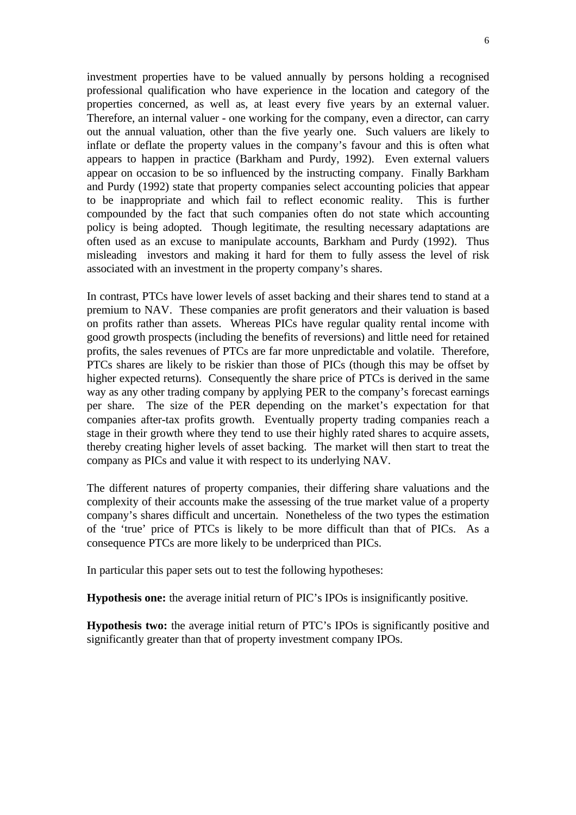investment properties have to be valued annually by persons holding a recognised professional qualification who have experience in the location and category of the properties concerned, as well as, at least every five years by an external valuer. Therefore, an internal valuer - one working for the company, even a director, can carry out the annual valuation, other than the five yearly one. Such valuers are likely to inflate or deflate the property values in the company's favour and this is often what appears to happen in practice (Barkham and Purdy, 1992). Even external valuers appear on occasion to be so influenced by the instructing company. Finally Barkham and Purdy (1992) state that property companies select accounting policies that appear to be inappropriate and which fail to reflect economic reality. This is further compounded by the fact that such companies often do not state which accounting policy is being adopted. Though legitimate, the resulting necessary adaptations are often used as an excuse to manipulate accounts, Barkham and Purdy (1992). Thus misleading investors and making it hard for them to fully assess the level of risk associated with an investment in the property company's shares.

In contrast, PTCs have lower levels of asset backing and their shares tend to stand at a premium to NAV. These companies are profit generators and their valuation is based on profits rather than assets. Whereas PICs have regular quality rental income with good growth prospects (including the benefits of reversions) and little need for retained profits, the sales revenues of PTCs are far more unpredictable and volatile. Therefore, PTCs shares are likely to be riskier than those of PICs (though this may be offset by higher expected returns). Consequently the share price of PTCs is derived in the same way as any other trading company by applying PER to the company's forecast earnings per share. The size of the PER depending on the market's expectation for that companies after-tax profits growth. Eventually property trading companies reach a stage in their growth where they tend to use their highly rated shares to acquire assets, thereby creating higher levels of asset backing. The market will then start to treat the company as PICs and value it with respect to its underlying NAV.

The different natures of property companies, their differing share valuations and the complexity of their accounts make the assessing of the true market value of a property company's shares difficult and uncertain. Nonetheless of the two types the estimation of the 'true' price of PTCs is likely to be more difficult than that of PICs. As a consequence PTCs are more likely to be underpriced than PICs.

In particular this paper sets out to test the following hypotheses:

**Hypothesis one:** the average initial return of PIC's IPOs is insignificantly positive.

**Hypothesis two:** the average initial return of PTC's IPOs is significantly positive and significantly greater than that of property investment company IPOs.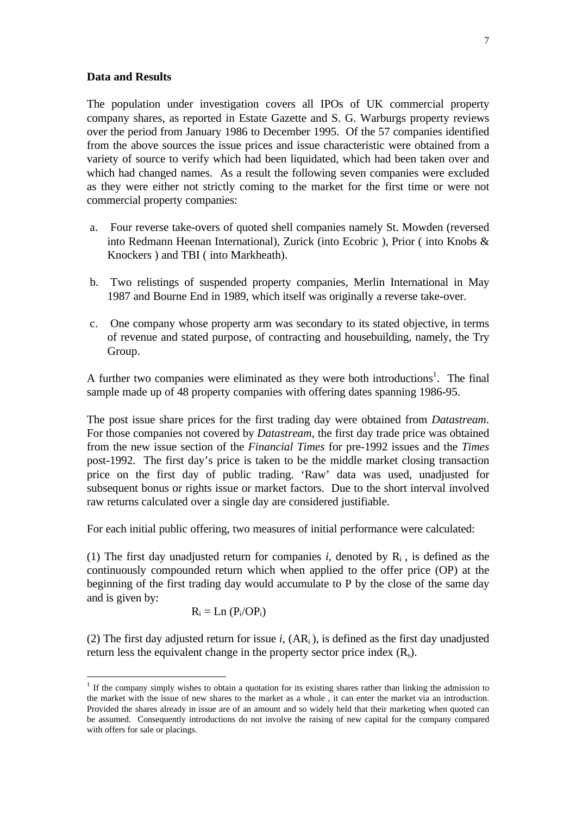#### **Data and Results**

The population under investigation covers all IPOs of UK commercial property company shares, as reported in Estate Gazette and S. G. Warburgs property reviews over the period from January 1986 to December 1995. Of the 57 companies identified from the above sources the issue prices and issue characteristic were obtained from a variety of source to verify which had been liquidated, which had been taken over and which had changed names. As a result the following seven companies were excluded as they were either not strictly coming to the market for the first time or were not commercial property companies:

- a. Four reverse take-overs of quoted shell companies namely St. Mowden (reversed into Redmann Heenan International), Zurick (into Ecobric ), Prior ( into Knobs & Knockers ) and TBI ( into Markheath).
- b. Two relistings of suspended property companies, Merlin International in May 1987 and Bourne End in 1989, which itself was originally a reverse take-over.
- c. One company whose property arm was secondary to its stated objective, in terms of revenue and stated purpose, of contracting and housebuilding, namely, the Try Group.

A further two companies were eliminated as they were both introductions<sup>1</sup>. The final sample made up of 48 property companies with offering dates spanning 1986-95.

The post issue share prices for the first trading day were obtained from *Datastream*. For those companies not covered by *Datastream*, the first day trade price was obtained from the new issue section of the *Financial Times* for pre-1992 issues and the *Times* post-1992. The first day's price is taken to be the middle market closing transaction price on the first day of public trading. 'Raw' data was used, unadjusted for subsequent bonus or rights issue or market factors. Due to the short interval involved raw returns calculated over a single day are considered justifiable.

For each initial public offering, two measures of initial performance were calculated:

(1) The first day unadjusted return for companies *i*, denoted by Ri , is defined as the continuously compounded return which when applied to the offer price (OP) at the beginning of the first trading day would accumulate to P by the close of the same day and is given by:

$$
R_i = Ln (P_i/OP_i)
$$

-

(2) The first day adjusted return for issue *i*,  $(AR_i)$ , is defined as the first day unadjusted return less the equivalent change in the property sector price index  $(R_s)$ .

 $<sup>1</sup>$  If the company simply wishes to obtain a quotation for its existing shares rather than linking the admission to</sup> the market with the issue of new shares to the market as a whole , it can enter the market via an introduction. Provided the shares already in issue are of an amount and so widely held that their marketing when quoted can be assumed. Consequently introductions do not involve the raising of new capital for the company compared with offers for sale or placings.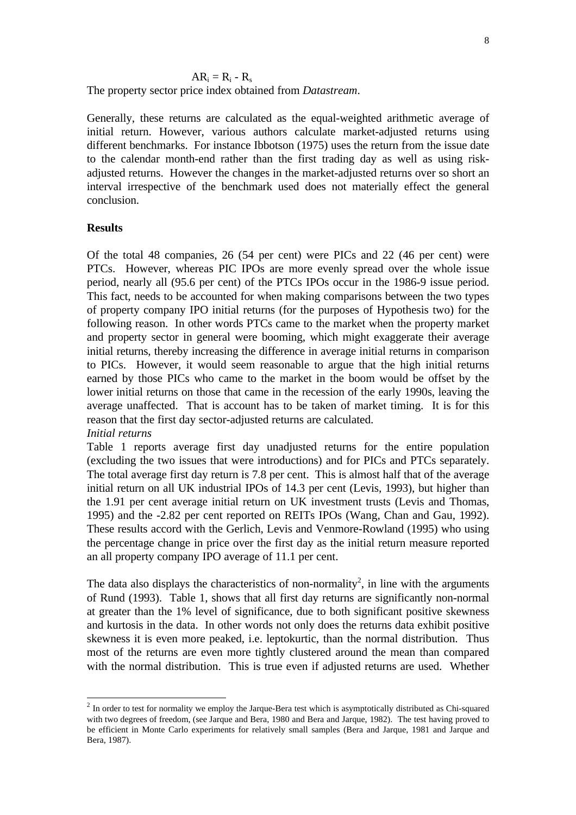The property sector price index obtained from *Datastream*.

Generally, these returns are calculated as the equal-weighted arithmetic average of initial return. However, various authors calculate market-adjusted returns using different benchmarks. For instance Ibbotson (1975) uses the return from the issue date to the calendar month-end rather than the first trading day as well as using riskadjusted returns. However the changes in the market-adjusted returns over so short an interval irrespective of the benchmark used does not materially effect the general conclusion.

## **Results**

Of the total 48 companies, 26 (54 per cent) were PICs and 22 (46 per cent) were PTCs. However, whereas PIC IPOs are more evenly spread over the whole issue period, nearly all (95.6 per cent) of the PTCs IPOs occur in the 1986-9 issue period. This fact, needs to be accounted for when making comparisons between the two types of property company IPO initial returns (for the purposes of Hypothesis two) for the following reason. In other words PTCs came to the market when the property market and property sector in general were booming, which might exaggerate their average initial returns, thereby increasing the difference in average initial returns in comparison to PICs. However, it would seem reasonable to argue that the high initial returns earned by those PICs who came to the market in the boom would be offset by the lower initial returns on those that came in the recession of the early 1990s, leaving the average unaffected. That is account has to be taken of market timing. It is for this reason that the first day sector-adjusted returns are calculated. *Initial returns*

Table 1 reports average first day unadjusted returns for the entire population (excluding the two issues that were introductions) and for PICs and PTCs separately. The total average first day return is 7.8 per cent. This is almost half that of the average initial return on all UK industrial IPOs of 14.3 per cent (Levis, 1993), but higher than the 1.91 per cent average initial return on UK investment trusts (Levis and Thomas, 1995) and the -2.82 per cent reported on REITs IPOs (Wang, Chan and Gau, 1992). These results accord with the Gerlich, Levis and Venmore-Rowland (1995) who using the percentage change in price over the first day as the initial return measure reported an all property company IPO average of 11.1 per cent.

The data also displays the characteristics of non-normality<sup>2</sup>, in line with the arguments of Rund (1993). Table 1, shows that all first day returns are significantly non-normal at greater than the 1% level of significance, due to both significant positive skewness and kurtosis in the data. In other words not only does the returns data exhibit positive skewness it is even more peaked, i.e. leptokurtic, than the normal distribution. Thus most of the returns are even more tightly clustered around the mean than compared with the normal distribution. This is true even if adjusted returns are used. Whether

<sup>&</sup>lt;sup>2</sup> In order to test for normality we employ the Jarque-Bera test which is asymptotically distributed as Chi-squared with two degrees of freedom, (see Jarque and Bera, 1980 and Bera and Jarque, 1982). The test having proved to be efficient in Monte Carlo experiments for relatively small samples (Bera and Jarque, 1981 and Jarque and Bera, 1987).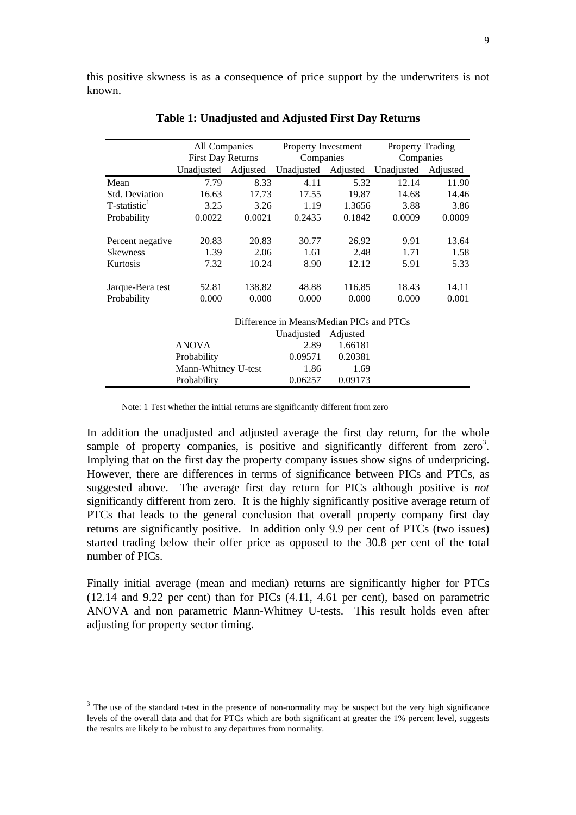this positive skwness is as a consequence of price support by the underwriters is not known.

|                          | All Companies                            |          | Property Investment |          | <b>Property Trading</b> |          |  |  |  |
|--------------------------|------------------------------------------|----------|---------------------|----------|-------------------------|----------|--|--|--|
|                          | <b>First Day Returns</b>                 |          | Companies           |          | Companies               |          |  |  |  |
|                          | Unadjusted                               | Adjusted | Unadjusted Adjusted |          | Unadjusted              | Adjusted |  |  |  |
| Mean                     | 7.79                                     | 8.33     | 4.11                | 5.32     | 12.14                   | 11.90    |  |  |  |
| <b>Std. Deviation</b>    | 16.63                                    | 17.73    | 17.55               | 19.87    | 14.68                   | 14.46    |  |  |  |
| T-statistic <sup>1</sup> | 3.25                                     | 3.26     | 1.19                | 1.3656   | 3.88                    | 3.86     |  |  |  |
| Probability              | 0.0022                                   | 0.0021   | 0.2435              | 0.1842   | 0.0009                  | 0.0009   |  |  |  |
| Percent negative         | 20.83                                    | 20.83    | 30.77               | 26.92    | 9.91                    | 13.64    |  |  |  |
| <b>Skewness</b>          | 1.39                                     | 2.06     | 1.61                | 2.48     | 1.71                    | 1.58     |  |  |  |
| Kurtosis                 | 7.32                                     | 10.24    | 8.90                | 12.12    | 5.91                    | 5.33     |  |  |  |
| Jarque-Bera test         | 52.81                                    | 138.82   | 48.88               | 116.85   | 18.43                   | 14.11    |  |  |  |
| Probability              | 0.000                                    | 0.000    | 0.000               | 0.000    | 0.000                   | 0.001    |  |  |  |
|                          | Difference in Means/Median PICs and PTCs |          |                     |          |                         |          |  |  |  |
|                          |                                          |          | Unadjusted          | Adjusted |                         |          |  |  |  |
|                          | <b>ANOVA</b>                             |          | 2.89                | 1.66181  |                         |          |  |  |  |
|                          | Probability                              |          | 0.09571             | 0.20381  |                         |          |  |  |  |
|                          | Mann-Whitney U-test                      |          | 1.86                | 1.69     |                         |          |  |  |  |
|                          | Probability                              |          | 0.06257             | 0.09173  |                         |          |  |  |  |

| Table 1: Unadjusted and Adjusted First Day Returns |  |  |  |  |  |  |
|----------------------------------------------------|--|--|--|--|--|--|
|----------------------------------------------------|--|--|--|--|--|--|

Note: 1 Test whether the initial returns are significantly different from zero

In addition the unadjusted and adjusted average the first day return, for the whole sample of property companies, is positive and significantly different from zero<sup>3</sup>. Implying that on the first day the property company issues show signs of underpricing. However, there are differences in terms of significance between PICs and PTCs, as suggested above. The average first day return for PICs although positive is *not* significantly different from zero. It is the highly significantly positive average return of PTCs that leads to the general conclusion that overall property company first day returns are significantly positive. In addition only 9.9 per cent of PTCs (two issues) started trading below their offer price as opposed to the 30.8 per cent of the total number of PICs.

Finally initial average (mean and median) returns are significantly higher for PTCs (12.14 and 9.22 per cent) than for PICs (4.11, 4.61 per cent), based on parametric ANOVA and non parametric Mann-Whitney U-tests. This result holds even after adjusting for property sector timing.

l

 $3$  The use of the standard t-test in the presence of non-normality may be suspect but the very high significance levels of the overall data and that for PTCs which are both significant at greater the 1% percent level, suggests the results are likely to be robust to any departures from normality.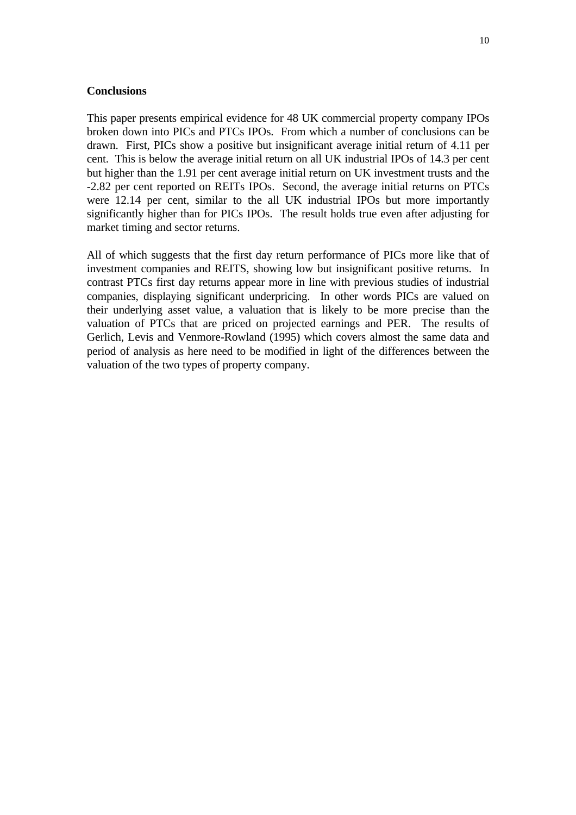## **Conclusions**

This paper presents empirical evidence for 48 UK commercial property company IPOs broken down into PICs and PTCs IPOs. From which a number of conclusions can be drawn. First, PICs show a positive but insignificant average initial return of 4.11 per cent. This is below the average initial return on all UK industrial IPOs of 14.3 per cent but higher than the 1.91 per cent average initial return on UK investment trusts and the -2.82 per cent reported on REITs IPOs. Second, the average initial returns on PTCs were 12.14 per cent, similar to the all UK industrial IPOs but more importantly significantly higher than for PICs IPOs. The result holds true even after adjusting for market timing and sector returns.

All of which suggests that the first day return performance of PICs more like that of investment companies and REITS, showing low but insignificant positive returns. In contrast PTCs first day returns appear more in line with previous studies of industrial companies, displaying significant underpricing. In other words PICs are valued on their underlying asset value, a valuation that is likely to be more precise than the valuation of PTCs that are priced on projected earnings and PER. The results of Gerlich, Levis and Venmore-Rowland (1995) which covers almost the same data and period of analysis as here need to be modified in light of the differences between the valuation of the two types of property company.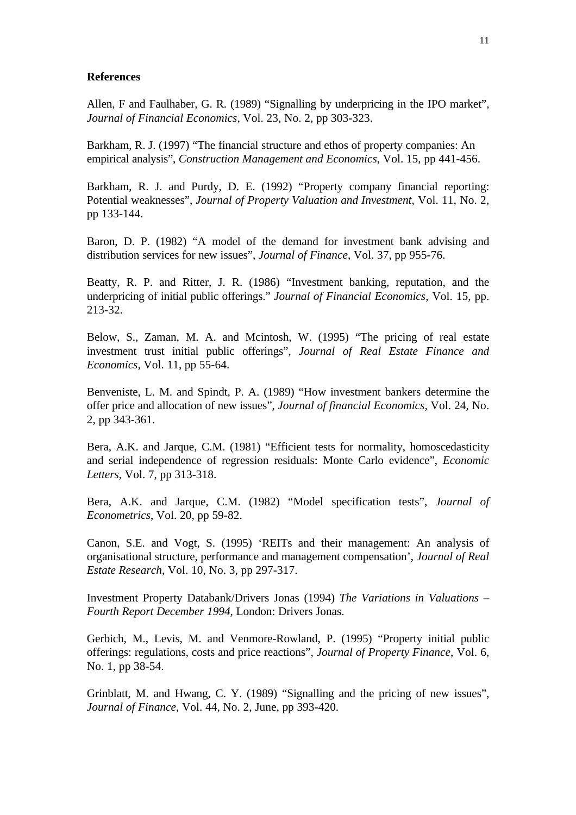#### **References**

Allen, F and Faulhaber, G. R. (1989) "Signalling by underpricing in the IPO market", *Journal of Financial Economics*, Vol. 23, No. 2, pp 303-323.

Barkham, R. J. (1997) "The financial structure and ethos of property companies: An empirical analysis", *Construction Management and Economics*, Vol. 15, pp 441-456.

Barkham, R. J. and Purdy, D. E. (1992) "Property company financial reporting: Potential weaknesses", *Journal of Property Valuation and Investment*, Vol. 11, No. 2, pp 133-144.

Baron, D. P. (1982) "A model of the demand for investment bank advising and distribution services for new issues", *Journal of Finance*, Vol. 37, pp 955-76.

Beatty, R. P. and Ritter, J. R. (1986) "Investment banking, reputation, and the underpricing of initial public offerings." *Journal of Financial Economics*, Vol. 15, pp. 213-32.

Below, S., Zaman, M. A. and Mcintosh, W. (1995) "The pricing of real estate investment trust initial public offerings", *Journal of Real Estate Finance and Economics*, Vol. 11, pp 55-64.

Benveniste, L. M. and Spindt, P. A. (1989) "How investment bankers determine the offer price and allocation of new issues", *Journal of financial Economics*, Vol. 24, No. 2, pp 343-361.

Bera, A.K. and Jarque, C.M. (1981) "Efficient tests for normality, homoscedasticity and serial independence of regression residuals: Monte Carlo evidence", *Economic Letters*, Vol. 7, pp 313-318.

Bera, A.K. and Jarque, C.M. (1982) "Model specification tests", *Journal of Econometrics*, Vol. 20, pp 59-82.

Canon, S.E. and Vogt, S. (1995) 'REITs and their management: An analysis of organisational structure, performance and management compensation', *Journal of Real Estate Research*, Vol. 10, No. 3, pp 297-317.

Investment Property Databank/Drivers Jonas (1994) *The Variations in Valuations – Fourth Report December 1994*, London: Drivers Jonas.

Gerbich, M., Levis, M. and Venmore-Rowland, P. (1995) "Property initial public offerings: regulations, costs and price reactions", *Journal of Property Finance*, Vol. 6, No. 1, pp 38-54.

Grinblatt, M. and Hwang, C. Y. (1989) "Signalling and the pricing of new issues", *Journal of Finance*, Vol. 44, No. 2, June, pp 393-420.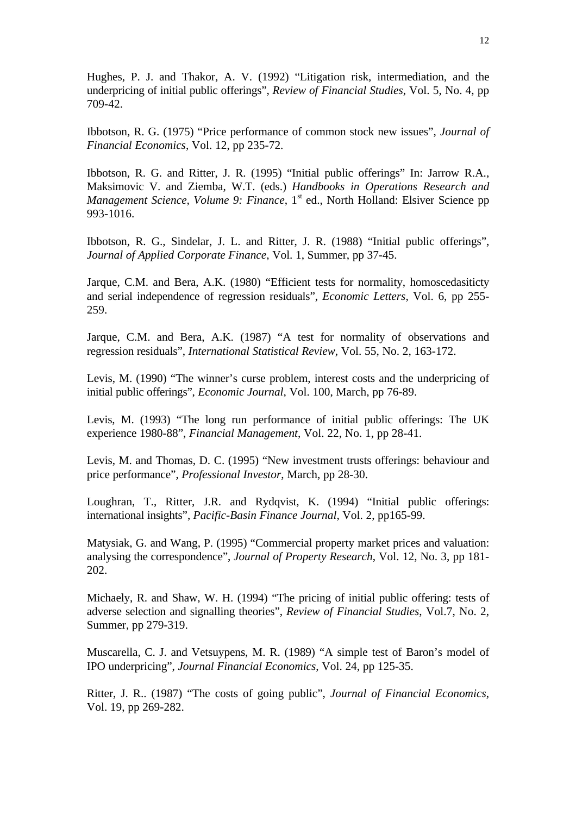Hughes, P. J. and Thakor, A. V. (1992) "Litigation risk, intermediation, and the underpricing of initial public offerings", *Review of Financial Studies*, Vol. 5, No. 4, pp 709-42.

Ibbotson, R. G. (1975) "Price performance of common stock new issues", *Journal of Financial Economics*, Vol. 12, pp 235-72.

Ibbotson, R. G. and Ritter, J. R. (1995) "Initial public offerings" In: Jarrow R.A., Maksimovic V. and Ziemba, W.T. (eds.) *Handbooks in Operations Research and Management Science, Volume 9: Finance,* 1<sup>st</sup> ed., North Holland: Elsiver Science pp 993-1016.

Ibbotson, R. G., Sindelar, J. L. and Ritter, J. R. (1988) "Initial public offerings", *Journal of Applied Corporate Finance*, Vol. 1, Summer, pp 37-45.

Jarque, C.M. and Bera, A.K. (1980) "Efficient tests for normality, homoscedasiticty and serial independence of regression residuals", *Economic Letters*, Vol. 6, pp 255- 259.

Jarque, C.M. and Bera, A.K. (1987) "A test for normality of observations and regression residuals", *International Statistical Review*, Vol. 55, No. 2, 163-172.

Levis, M. (1990) "The winner's curse problem, interest costs and the underpricing of initial public offerings", *Economic Journal*, Vol. 100, March, pp 76-89.

Levis, M. (1993) "The long run performance of initial public offerings: The UK experience 1980-88", *Financial Management*, Vol. 22, No. 1, pp 28-41.

Levis, M. and Thomas, D. C. (1995) "New investment trusts offerings: behaviour and price performance", *Professional Investor*, March, pp 28-30.

Loughran, T., Ritter, J.R. and Rydqvist, K. (1994) "Initial public offerings: international insights", *Pacific-Basin Finance Journal*, Vol. 2, pp165-99.

Matysiak, G. and Wang, P. (1995) "Commercial property market prices and valuation: analysing the correspondence", *Journal of Property Research*, Vol. 12, No. 3, pp 181- 202.

Michaely, R. and Shaw, W. H. (1994) "The pricing of initial public offering: tests of adverse selection and signalling theories", *Review of Financial Studies*, Vol.7, No. 2, Summer, pp 279-319.

Muscarella, C. J. and Vetsuypens, M. R. (1989) "A simple test of Baron's model of IPO underpricing", *Journal Financial Economics*, Vol. 24, pp 125-35.

Ritter, J. R.. (1987) "The costs of going public", *Journal of Financial Economics*, Vol. 19, pp 269-282.